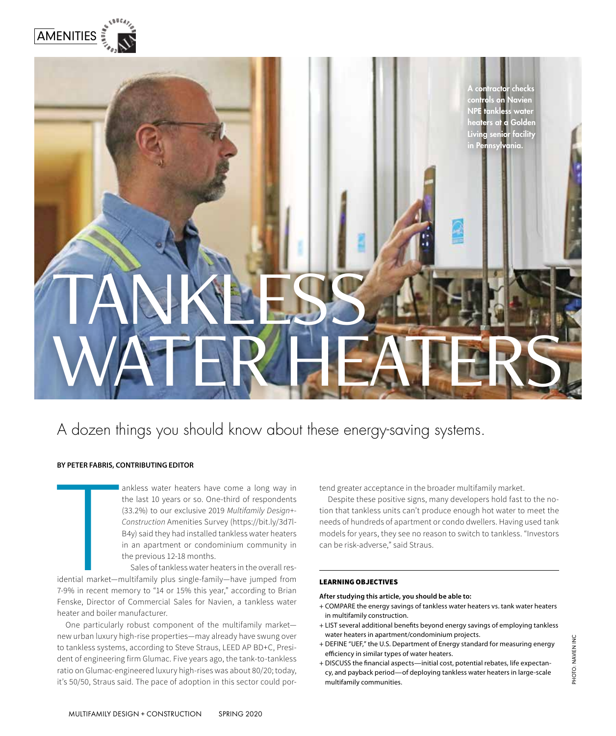

# TANKLESS. WATER HEATERS A contractor checks **on Navien** NPE tankless water heaters at a Golden Living senior facility in Pennsylvania.

## A dozen things you should know about these energy-saving systems.

#### **BY PETER FABRIS, CONTRIBUTING EDITOR**

ankless water heaters have come a long way in the last 10 years or so. One-third of respondents (33.2%) to our exclusive 2019 *Multifamily Design+- Construction* Amenities Survey (https://bit.ly/3d7l-B4y) said they had installed tankless water heaters in an apartment or condominium community in the previous 12-18 months.

The Community of the Community of the Community of the Community of the Community of the Community of the Community of the Community of the Community of the Community of the Community of the Community of the Community of t Sales of tankless water heaters in the overall residential market—multifamily plus single-family—have jumped from 7-9% in recent memory to "14 or 15% this year," according to Brian Fenske, Director of Commercial Sales for Navien, a tankless water heater and boiler manufacturer.

One particularly robust component of the multifamily market new urban luxury high-rise properties—may already have swung over to tankless systems, according to Steve Straus, LEED AP BD+C, President of engineering firm Glumac. Five years ago, the tank-to-tankless ratio on Glumac-engineered luxury high-rises was about 80/20; today, it's 50/50, Straus said. The pace of adoption in this sector could portend greater acceptance in the broader multifamily market.

Despite these positive signs, many developers hold fast to the notion that tankless units can't produce enough hot water to meet the needs of hundreds of apartment or condo dwellers. Having used tank models for years, they see no reason to switch to tankless. "Investors can be risk-adverse," said Straus.

#### LEARNING OBJECTIVES

#### **After studying this article, you should be able to:**

- + COMPARE the energy savings of tankless water heaters vs. tank water heaters in multifamily construction.
- + LIST several additional benefits beyond energy savings of employing tankless water heaters in apartment/condominium projects.
- + DEFINE "UEF," the U.S. Department of Energy standard for measuring energy efficiency in similar types of water heaters.
- + DISCUSS the financial aspects—initial cost, potential rebates, life expectancy, and payback period—of deploying tankless water heaters in large-scale multifamily communities.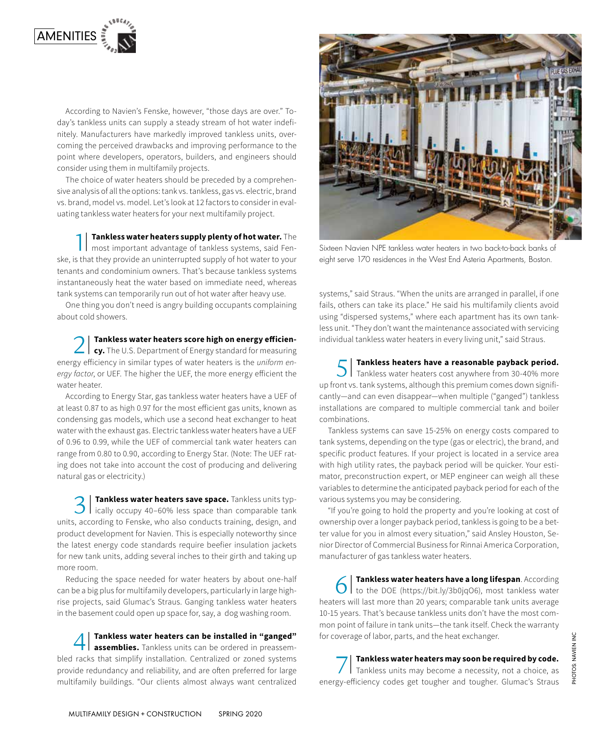

According to Navien's Fenske, however, "those days are over." Today's tankless units can supply a steady stream of hot water indefinitely. Manufacturers have markedly improved tankless units, overcoming the perceived drawbacks and improving performance to the point where developers, operators, builders, and engineers should consider using them in multifamily projects.

The choice of water heaters should be preceded by a comprehensive analysis of all the options: tank vs. tankless, gas vs. electric, brand vs. brand, model vs. model. Let's look at 12 factors to consider in evaluating tankless water heaters for your next multifamily project.

1 Tankless water heaters supply plenty of hot water. The most important advantage of tankless systems, said Fen-**Tankless water heaters supply plenty of hot water.** The ske, is that they provide an uninterrupted supply of hot water to your tenants and condominium owners. That's because tankless systems instantaneously heat the water based on immediate need, whereas tank systems can temporarily run out of hot water after heavy use.

One thing you don't need is angry building occupants complaining about cold showers.

2| **Tankless water heaters score high on energy efficiency.** The U.S. Department of Energy standard for measuring energy efficiency in similar types of water heaters is the *uniform energy factor*, or UEF. The higher the UEF, the more energy efficient the water heater.

According to Energy Star, gas tankless water heaters have a UEF of at least 0.87 to as high 0.97 for the most efficient gas units, known as condensing gas models, which use a second heat exchanger to heat water with the exhaust gas. Electric tankless water heaters have a UEF of 0.96 to 0.99, while the UEF of commercial tank water heaters can range from 0.80 to 0.90, according to Energy Star. (Note: The UEF rating does not take into account the cost of producing and delivering natural gas or electricity.)

3 Tankless water heaters save space. Tankless units typically occupy 40–60% less space than comparable tank **Tankless water heaters save space.** Tankless units typunits, according to Fenske, who also conducts training, design, and product development for Navien. This is especially noteworthy since the latest energy code standards require beefier insulation jackets for new tank units, adding several inches to their girth and taking up more room.

Reducing the space needed for water heaters by about one-half can be a big plus for multifamily developers, particularly in large highrise projects, said Glumac's Straus. Ganging tankless water heaters in the basement could open up space for, say, a dog washing room.

**4 | Tankless water heaters can be installed in "ganged" assemblies.** Tankless units can be ordered in preassembled racks that simplify installation. Centralized or zoned systems **Tankless water heaters can be installed in "ganged" assemblies.** Tankless units can be ordered in preassemprovide redundancy and reliability, and are often preferred for large multifamily buildings. "Our clients almost always want centralized



Sixteen Navien NPE tankless water heaters in two back-to-back banks of eight serve 170 residences in the West End Asteria Apartments, Boston.

systems," said Straus. "When the units are arranged in parallel, if one fails, others can take its place." He said his multifamily clients avoid using "dispersed systems," where each apartment has its own tankless unit. "They don't want the maintenance associated with servicing individual tankless water heaters in every living unit," said Straus.

5 Tankless heaters have a reasonable payback period.<br>5 Tankless water heaters cost anywhere from 30-40% more **Tankless heaters have a reasonable payback period.**  up front vs. tank systems, although this premium comes down significantly—and can even disappear—when multiple ("ganged") tankless installations are compared to multiple commercial tank and boiler combinations.

Tankless systems can save 15-25% on energy costs compared to tank systems, depending on the type (gas or electric), the brand, and specific product features. If your project is located in a service area with high utility rates, the payback period will be quicker. Your estimator, preconstruction expert, or MEP engineer can weigh all these variables to determine the anticipated payback period for each of the various systems you may be considering.

"If you're going to hold the property and you're looking at cost of ownership over a longer payback period, tankless is going to be a better value for you in almost every situation," said Ansley Houston, Senior Director of Commercial Business for Rinnai America Corporation, manufacturer of gas tankless water heaters.

6 Tankless water heaters have a long lifespan. According<br>to the DOE (https://bit.ly/3b0jqO6), most tankless water **Tankless water heaters have a long lifespan**. According heaters will last more than 20 years; comparable tank units average 10-15 years. That's because tankless units don't have the most common point of failure in tank units—the tank itself. Check the warranty for coverage of labor, parts, and the heat exchanger.

7| **Tankless water heaters may soon be required by code.**  Tankless units may become a necessity, not a choice, as energy-efficiency codes get tougher and tougher. Glumac's Straus